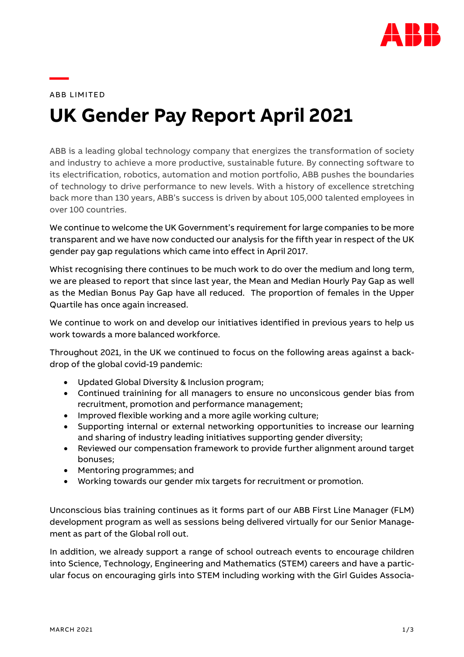

ABB LIMITED

**—**

# **UK Gender Pay Report April 2021**

ABB is a leading global technology company that energizes the transformation of society and industry to achieve a more productive, sustainable future. By connecting software to its electrification, robotics, automation and motion portfolio, ABB pushes the boundaries of technology to drive performance to new levels. With a history of excellence stretching back more than 130 years, ABB's success is driven by about 105,000 talented employees in over 100 countries.

We continue to welcome the UK Government's requirement for large companies to be more transparent and we have now conducted our analysis for the fifth year in respect of the UK gender pay gap regulations which came into effect in April 2017.

Whist recognising there continues to be much work to do over the medium and long term, we are pleased to report that since last year, the Mean and Median Hourly Pay Gap as well as the Median Bonus Pay Gap have all reduced. The proportion of females in the Upper Quartile has once again increased.

We continue to work on and develop our initiatives identified in previous years to help us work towards a more balanced workforce.

Throughout 2021, in the UK we continued to focus on the following areas against a backdrop of the global covid-19 pandemic:

- Updated Global Diversity & Inclusion program;
- Continued trainining for all managers to ensure no unconsicous gender bias from recruitment, promotion and performance management;
- Improved flexible working and a more agile working culture;
- Supporting internal or external networking opportunities to increase our learning and sharing of industry leading initiatives supporting gender diversity;
- Reviewed our compensation framework to provide further alignment around target bonuses;
- Mentoring programmes; and
- Working towards our gender mix targets for recruitment or promotion.

Unconscious bias training continues as it forms part of our ABB First Line Manager (FLM) development program as well as sessions being delivered virtually for our Senior Management as part of the Global roll out.

In addition, we already support a range of school outreach events to encourage children into Science, Technology, Engineering and Mathematics (STEM) careers and have a particular focus on encouraging girls into STEM including working with the Girl Guides Associa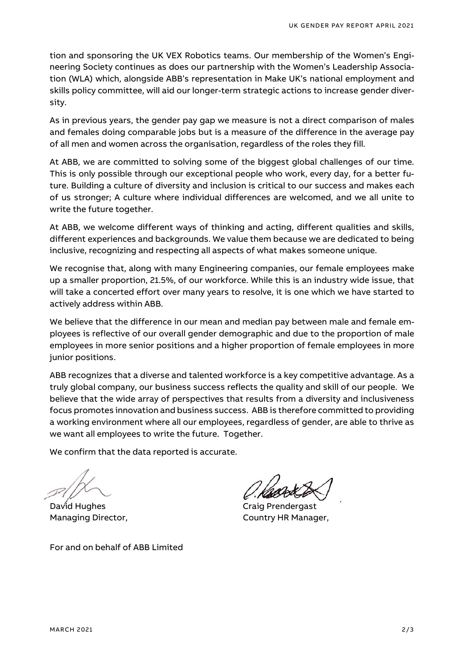tion and sponsoring the UK VEX Robotics teams. Our membership of the Women's Engineering Society continues as does our partnership with the Women's Leadership Association (WLA) which, alongside ABB's representation in Make UK's national employment and skills policy committee, will aid our longer-term strategic actions to increase gender diversity.

As in previous years, the gender pay gap we measure is not a direct comparison of males and females doing comparable jobs but is a measure of the difference in the average pay of all men and women across the organisation, regardless of the roles they fill.

At ABB, we are committed to solving some of the biggest global challenges of our time. This is only possible through our exceptional people who work, every day, for a better future. Building a culture of diversity and inclusion is critical to our success and makes each of us stronger; A culture where individual differences are welcomed, and we all unite to write the future together.

At ABB, we welcome different ways of thinking and acting, different qualities and skills, different experiences and backgrounds. We value them because we are dedicated to being inclusive, recognizing and respecting all aspects of what makes someone unique.

We recognise that, along with many Engineering companies, our female employees make up a smaller proportion, 21.5%, of our workforce. While this is an industry wide issue, that will take a concerted effort over many years to resolve, it is one which we have started to actively address within ABB.

We believe that the difference in our mean and median pay between male and female employees is reflective of our overall gender demographic and due to the proportion of male employees in more senior positions and a higher proportion of female employees in more junior positions.

ABB recognizes that a diverse and talented workforce is a key competitive advantage. As a truly global company, our business success reflects the quality and skill of our people. We believe that the wide array of perspectives that results from a diversity and inclusiveness focus promotes innovation and business success. ABB is therefore committed to providing a working environment where all our employees, regardless of gender, are able to thrive as we want all employees to write the future. Together.

We confirm that the data reported is accurate.

David Hughes **Craig Prendergast** Managing Director, The Country HR Manager,

For and on behalf of ABB Limited